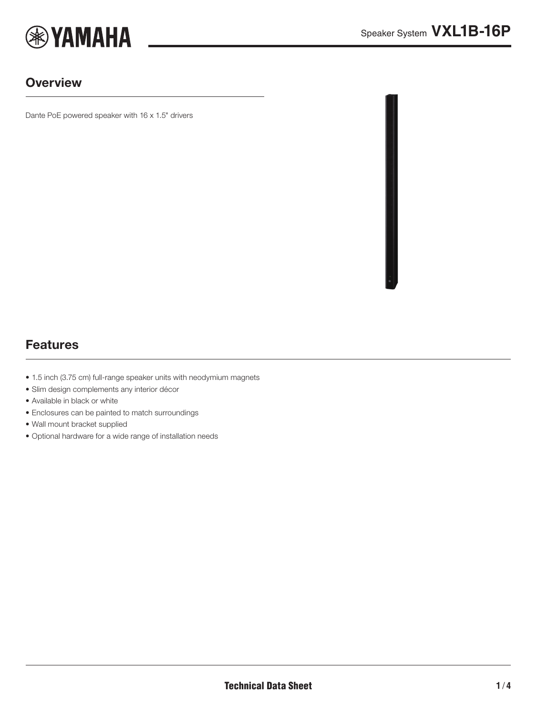

#### **Overview**

Dante PoE powered speaker with 16 x 1.5" drivers



# Features

- 1.5 inch (3.75 cm) full-range speaker units with neodymium magnets
- Slim design complements any interior décor
- Available in black or white
- Enclosures can be painted to match surroundings
- Wall mount bracket supplied
- Optional hardware for a wide range of installation needs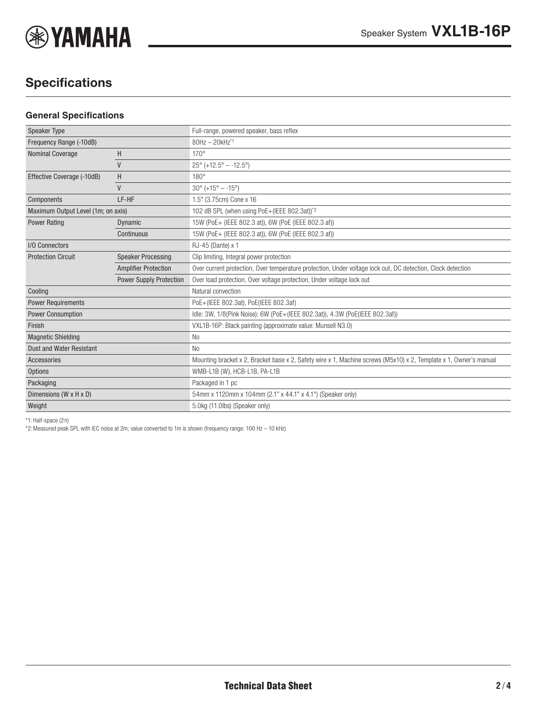

# **Specifications**

#### **General Specifications**

| <b>Speaker Type</b>                |                                | Full-range, powered speaker, bass reflex                                                                          |
|------------------------------------|--------------------------------|-------------------------------------------------------------------------------------------------------------------|
| Frequency Range (-10dB)            |                                | 80Hz - 20kHz*1                                                                                                    |
| <b>Nominal Coverage</b>            | H                              | $170^\circ$                                                                                                       |
|                                    | $\mathsf{V}$                   | $25^{\circ}$ (+12.5° - -12.5°)                                                                                    |
| Effective Coverage (-10dB)         | H                              | $180^\circ$                                                                                                       |
|                                    | $\mathsf{V}$                   | $30^{\circ}$ (+15° - -15°)                                                                                        |
| Components                         | LF-HF                          | 1.5" (3.75cm) Cone x 16                                                                                           |
| Maximum Output Level (1m; on axis) |                                | 102 dB SPL (when using PoE+(IEEE 802.3at))*2                                                                      |
| <b>Power Rating</b>                | Dynamic                        | 15W (PoE+ (IEEE 802.3 at)), 6W (PoE (IEEE 802.3 af))                                                              |
|                                    | Continuous                     | 15W (PoE+ (IEEE 802.3 at)), 6W (PoE (IEEE 802.3 af))                                                              |
| I/O Connectors                     |                                | RJ-45 (Dante) x 1                                                                                                 |
| <b>Protection Circuit</b>          | <b>Speaker Processing</b>      | Clip limiting, Integral power protection                                                                          |
|                                    | <b>Amplifier Protection</b>    | Over current protection, Over temperature protection, Under voltage lock out, DC detection, Clock detection       |
|                                    | <b>Power Supply Protection</b> | Over load protection, Over voltage protection, Under voltage lock out                                             |
| Cooling                            |                                | Natural convection                                                                                                |
| <b>Power Requirements</b>          |                                | PoE+(IEEE 802.3at), PoE(IEEE 802.3af)                                                                             |
| <b>Power Consumption</b>           |                                | Idle: 3W, 1/8(Pink Noise): 6W (PoE+(IEEE 802.3at)), 4.3W (PoE(IEEE 802.3af))                                      |
| Finish                             |                                | VXL1B-16P: Black painting (approximate value: Munsell N3.0)                                                       |
| <b>Magnetic Shielding</b>          |                                | N <sub>o</sub>                                                                                                    |
| <b>Dust and Water Resistant</b>    |                                | No.                                                                                                               |
| <b>Accessories</b>                 |                                | Mounting bracket x 2, Bracket base x 2, Safety wire x 1, Machine screws (M5x10) x 2, Template x 1, Owner's manual |
| <b>Options</b>                     |                                | WMB-L1B (W), HCB-L1B, PA-L1B                                                                                      |
| Packaging                          |                                | Packaged in 1 pc                                                                                                  |
| Dimensions (W x H x D)             |                                | 54mm x 1120mm x 104mm (2.1" x 44.1" x 4.1") (Speaker only)                                                        |
| Weight                             |                                | 5.0kg (11.0lbs) (Speaker only)                                                                                    |
|                                    |                                |                                                                                                                   |

\*1: Half-space (2π)

\*2:Measured peak SPL with IEC noise at 2m; value converted to 1m is shown (frequency range: 100 Hz – 10 kHz)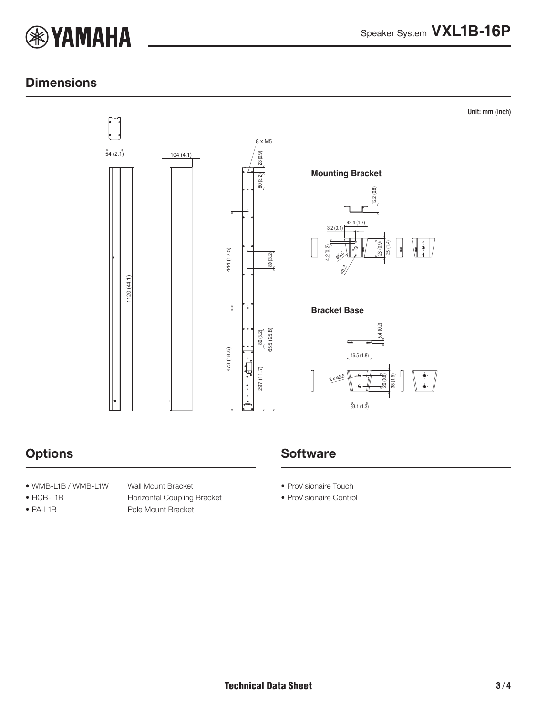

Unit: mm (inch)

### **Dimensions**



# **Options**

- WMB-L1B / WMB-L1W Wall Mount Bracket
- 
- 

• HCB-L1B Horizontal Coupling Bracket • PA-L1B Pole Mount Bracket

# **Software**

- ProVisionaire Touch
- ProVisionaire Control